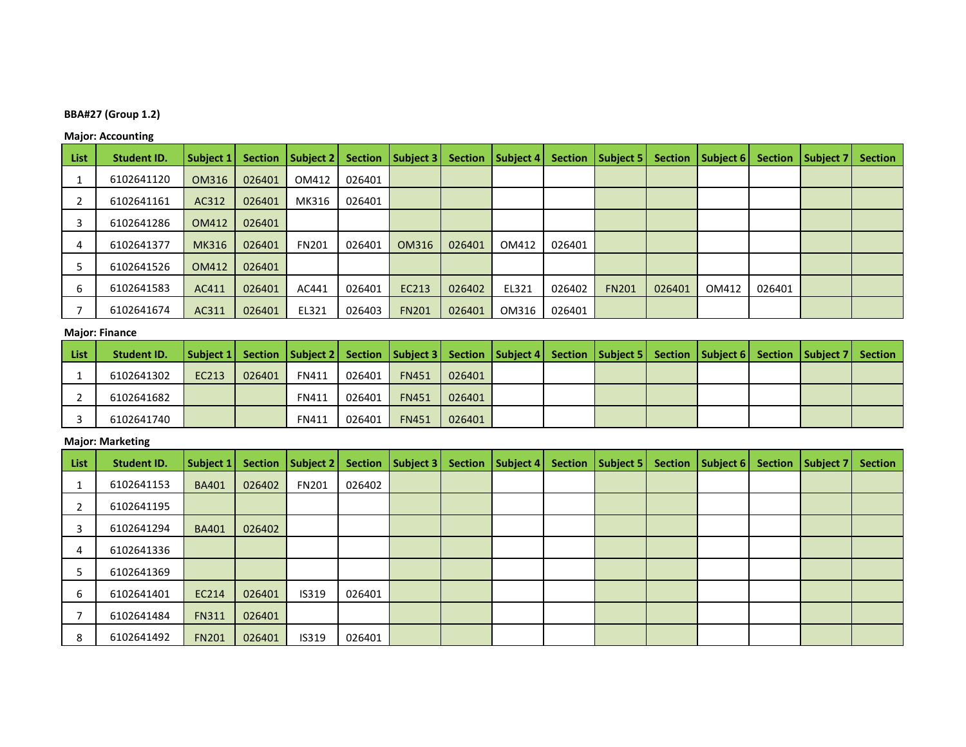# **BBA#27 (Group 1.2)**

## **Major: Accounting**

| List | <b>Student ID.</b> | Subject 1 | <b>Section</b> | Subject 2    | <b>Section</b> | Subject 3    | <b>Section</b> | Subject 4 |        | Section   Subject 5 | <b>Section</b> | Subject 6 |        | Section   Subject 7 | <b>Section</b> |
|------|--------------------|-----------|----------------|--------------|----------------|--------------|----------------|-----------|--------|---------------------|----------------|-----------|--------|---------------------|----------------|
|      | 6102641120         | OM316     | 026401         | OM412        | 026401         |              |                |           |        |                     |                |           |        |                     |                |
|      | 6102641161         | AC312     | 026401         | MK316        | 026401         |              |                |           |        |                     |                |           |        |                     |                |
|      | 6102641286         | OM412     | 026401         |              |                |              |                |           |        |                     |                |           |        |                     |                |
| 4    | 6102641377         | MK316     | 026401         | <b>FN201</b> | 026401         | OM316        | 026401         | OM412     | 026401 |                     |                |           |        |                     |                |
|      | 6102641526         | OM412     | 026401         |              |                |              |                |           |        |                     |                |           |        |                     |                |
| 6    | 6102641583         | AC411     | 026401         | AC441        | 026401         | EC213        | 026402         | EL321     | 026402 | <b>FN201</b>        | 026401         | OM412     | 026401 |                     |                |
|      | 6102641674         | AC311     | 026401         | EL321        | 026403         | <b>FN201</b> | 026401         | OM316     | 026401 |                     |                |           |        |                     |                |

#### **Major: Finance**

| List | Student ID. | Subject 1 Section Subject 2 Section Subject 3 Section Subject 4 Section Subject 5 Section Subject 6 Section Subject 7 Section |        |              |        |              |        |  |  |  |  |
|------|-------------|-------------------------------------------------------------------------------------------------------------------------------|--------|--------------|--------|--------------|--------|--|--|--|--|
|      | 6102641302  | EC213                                                                                                                         | 026401 | <b>FN411</b> | 026401 | <b>FN451</b> | 026401 |  |  |  |  |
|      | 6102641682  |                                                                                                                               |        | <b>FN411</b> | 026401 | <b>FN451</b> | 026401 |  |  |  |  |
|      | 6102641740  |                                                                                                                               |        | <b>FN411</b> | 026401 | <b>FN451</b> | 026401 |  |  |  |  |

#### **Major: Marketing**

| List | <b>Student ID.</b> | Subject 1    |        | Section   Subject 2   Section   Subject 3 |        | <b>Section</b> | Subject 4 | Section   Subject 5 | <b>Section</b> | Subject 6 | Section   Subject 7 | <b>Section</b> |
|------|--------------------|--------------|--------|-------------------------------------------|--------|----------------|-----------|---------------------|----------------|-----------|---------------------|----------------|
|      | 6102641153         | <b>BA401</b> | 026402 | <b>FN201</b>                              | 026402 |                |           |                     |                |           |                     |                |
|      | 6102641195         |              |        |                                           |        |                |           |                     |                |           |                     |                |
| 3    | 6102641294         | <b>BA401</b> | 026402 |                                           |        |                |           |                     |                |           |                     |                |
| 4    | 6102641336         |              |        |                                           |        |                |           |                     |                |           |                     |                |
|      | 6102641369         |              |        |                                           |        |                |           |                     |                |           |                     |                |
| 6    | 6102641401         | EC214        | 026401 | IS319                                     | 026401 |                |           |                     |                |           |                     |                |
|      | 6102641484         | <b>FN311</b> | 026401 |                                           |        |                |           |                     |                |           |                     |                |
| 8    | 6102641492         | <b>FN201</b> | 026401 | IS319                                     | 026401 |                |           |                     |                |           |                     |                |